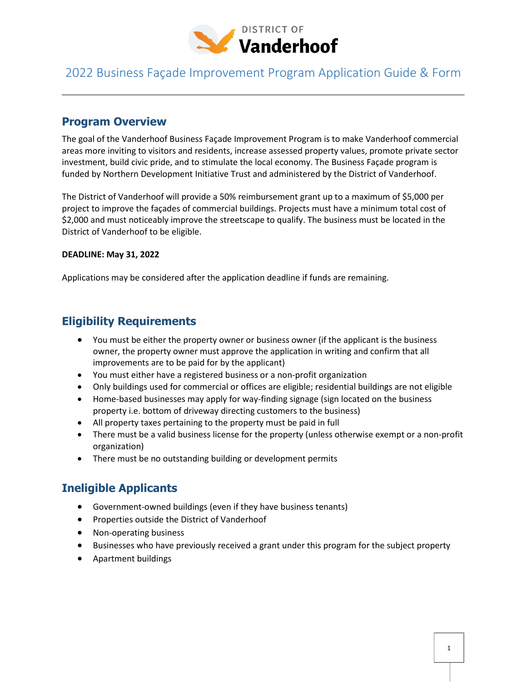

#### **Program Overview**

The goal of the Vanderhoof Business Façade Improvement Program is to make Vanderhoof commercial areas more inviting to visitors and residents, increase assessed property values, promote private sector investment, build civic pride, and to stimulate the local economy. The Business Façade program is funded by Northern Development Initiative Trust and administered by the District of Vanderhoof.

The District of Vanderhoof will provide a 50% reimbursement grant up to a maximum of \$5,000 per project to improve the façades of commercial buildings. Projects must have a minimum total cost of \$2,000 and must noticeably improve the streetscape to qualify. The business must be located in the District of Vanderhoof to be eligible.

#### **DEADLINE: May 31, 2022**

Applications may be considered after the application deadline if funds are remaining.

#### **Eligibility Requirements**

- You must be either the property owner or business owner (if the applicant is the business owner, the property owner must approve the application in writing and confirm that all improvements are to be paid for by the applicant)
- You must either have a registered business or a non-profit organization
- Only buildings used for commercial or offices are eligible; residential buildings are not eligible
- Home-based businesses may apply for way-finding signage (sign located on the business property i.e. bottom of driveway directing customers to the business)
- All property taxes pertaining to the property must be paid in full
- There must be a valid business license for the property (unless otherwise exempt or a non-profit organization)
- There must be no outstanding building or development permits

#### **Ineligible Applicants**

- Government-owned buildings (even if they have business tenants)
- Properties outside the District of Vanderhoof
- Non-operating business
- Businesses who have previously received a grant under this program for the subject property
- Apartment buildings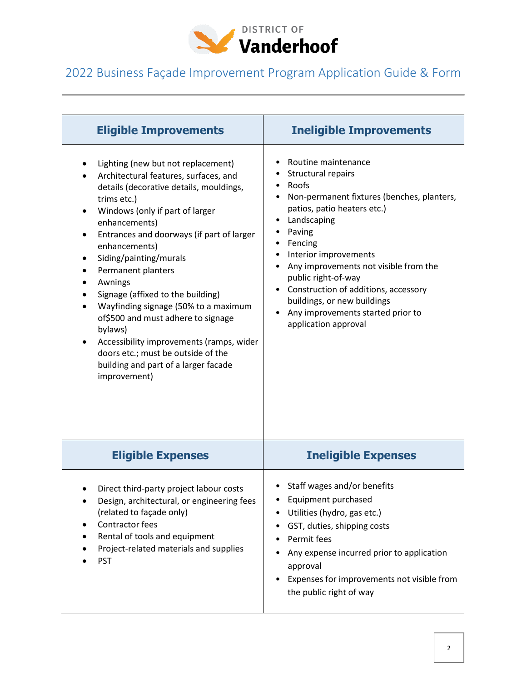

| <b>Eligible Improvements</b>                                                                                                                                                                                                                                                                                                                                                                                                                                                                                                                                                                         | <b>Ineligible Improvements</b>                                                                                                                                                                                                                                                                                                                                                                   |
|------------------------------------------------------------------------------------------------------------------------------------------------------------------------------------------------------------------------------------------------------------------------------------------------------------------------------------------------------------------------------------------------------------------------------------------------------------------------------------------------------------------------------------------------------------------------------------------------------|--------------------------------------------------------------------------------------------------------------------------------------------------------------------------------------------------------------------------------------------------------------------------------------------------------------------------------------------------------------------------------------------------|
| Lighting (new but not replacement)<br>Architectural features, surfaces, and<br>details (decorative details, mouldings,<br>trims etc.)<br>Windows (only if part of larger<br>enhancements)<br>Entrances and doorways (if part of larger<br>٠<br>enhancements)<br>Siding/painting/murals<br>Permanent planters<br>Awnings<br>Signage (affixed to the building)<br>Wayfinding signage (50% to a maximum<br>of\$500 and must adhere to signage<br>bylaws)<br>Accessibility improvements (ramps, wider<br>٠<br>doors etc.; must be outside of the<br>building and part of a larger facade<br>improvement) | Routine maintenance<br>Structural repairs<br>Roofs<br>Non-permanent fixtures (benches, planters,<br>patios, patio heaters etc.)<br>Landscaping<br>Paving<br>Fencing<br>Interior improvements<br>Any improvements not visible from the<br>public right-of-way<br>Construction of additions, accessory<br>buildings, or new buildings<br>Any improvements started prior to<br>application approval |
| <b>Eligible Expenses</b>                                                                                                                                                                                                                                                                                                                                                                                                                                                                                                                                                                             | <b>Ineligible Expenses</b>                                                                                                                                                                                                                                                                                                                                                                       |
| Direct third-party project labour costs<br>Design, architectural, or engineering fees<br>(related to façade only)<br>Contractor fees<br>Rental of tools and equipment<br>Project-related materials and supplies<br><b>PST</b>                                                                                                                                                                                                                                                                                                                                                                        | Staff wages and/or benefits<br>Equipment purchased<br>Utilities (hydro, gas etc.)<br>GST, duties, shipping costs<br>Permit fees<br>Any expense incurred prior to application<br>approval<br>Expenses for improvements not visible from<br>the public right of way                                                                                                                                |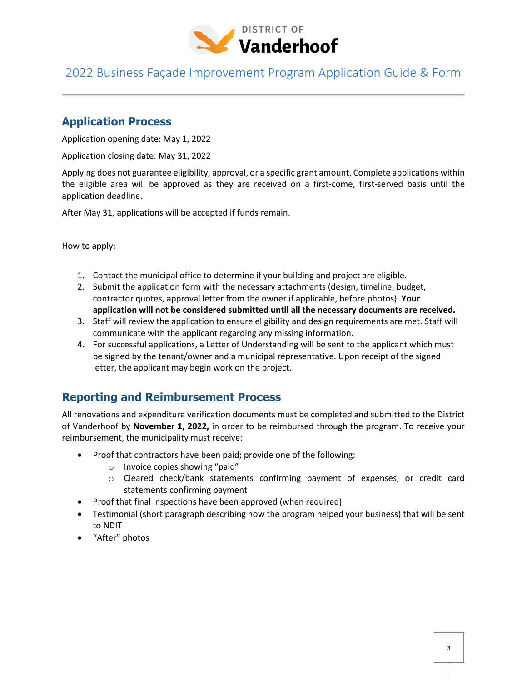

#### **Application Process**

Application opening date: May 1, 2022

Application closing date: May 31, 2022

Applying does not guarantee eligibility, approval, or a specific grant amount. Complete applications within the eligible area will be approved as they are received on a first-come, first-served basis until the application deadline.

After May 31, applications will be accepted if funds remain.

How to apply:

- 1. Contact the municipal office to determine if your building and project are eligible.
- 2. Submit the application form with the necessary attachments (design, timeline, budget, contractor quotes, approval letter from the owner if applicable, before photos). **Your application will not be considered submitted until all the necessary documents are received.**
- 3. Staff will review the application to ensure eligibility and design requirements are met. Staff will communicate with the applicant regarding any missing information.
- 4. For successful applications, a Letter of Understanding will be sent to the applicant which must be signed by the tenant/owner and a municipal representative. Upon receipt of the signed letter, the applicant may begin work on the project.

#### **Reporting and Reimbursement Process**

All renovations and expenditure verification documents must be completed and submitted to the District of Vanderhoof by **November 1, 2022,** in order to be reimbursed through the program. To receive your reimbursement, the municipality must receive:

- Proof that contractors have been paid; provide one of the following:
	- o Invoice copies showing "paid"
	- o Cleared check/bank statements confirming payment of expenses, or credit card statements confirming payment
- Proof that final inspections have been approved (when required)
- Testimonial (short paragraph describing how the program helped your business) that will be sent to NDIT
- "After" photos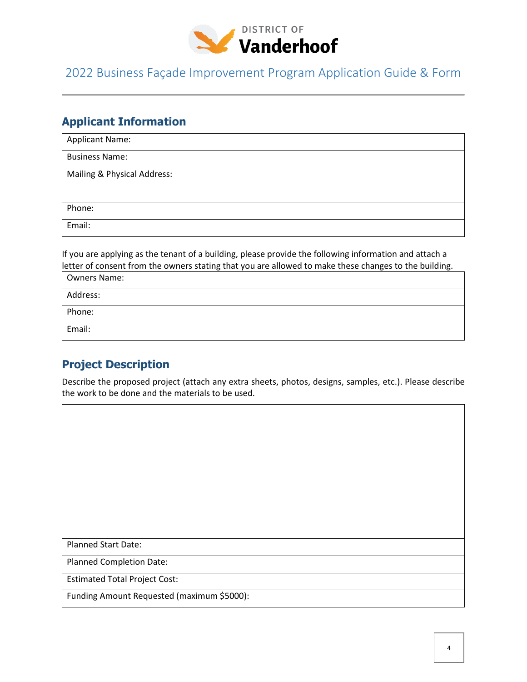

### **Applicant Information**

| <b>Applicant Name:</b>      |
|-----------------------------|
| <b>Business Name:</b>       |
| Mailing & Physical Address: |
|                             |
| Phone:                      |
| Email:                      |

If you are applying as the tenant of a building, please provide the following information and attach a letter of consent from the owners stating that you are allowed to make these changes to the building.

| <b>Owners Name:</b> |  |
|---------------------|--|
| Address:            |  |
| Phone:              |  |
| Email:              |  |

#### **Project Description**

Describe the proposed project (attach any extra sheets, photos, designs, samples, etc.). Please describe the work to be done and the materials to be used.

Planned Start Date:

Planned Completion Date:

Estimated Total Project Cost:

Funding Amount Requested (maximum \$5000):